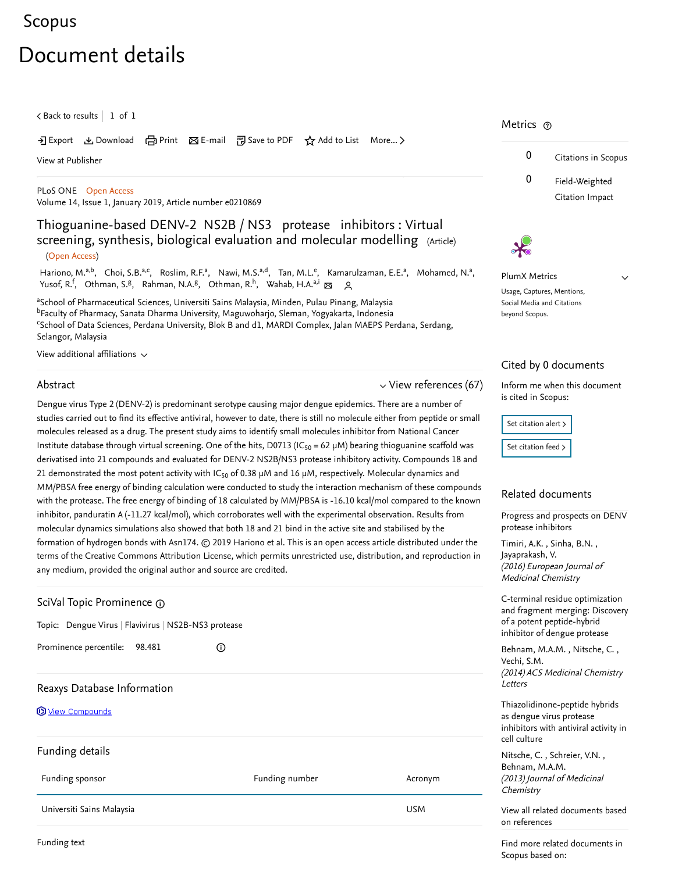## [Scopus](https://www-scopus-com.ezproxy.um.edu.my/home.uri?zone=header&origin=searchbasic)

# Document details

 $\zeta$  [Back to results](https://www-scopus-com.ezproxy.um.edu.my/results/results.uri?sort=plf-f&src=s&st1=Thioguanine-based+DENV-2+NS2B%2fNS3+protease+inhibitors%3a&st2=&sid=35c124fc68e6d83093cd77d019022fbf&sot=b&sdt=b&sl=61&s=TITLE%28Thioguanine-based+DENV-2+NS2B%2fNS3+protease+inhibitors%3a%29&offset=1&origin=recordpage)  $\vert\,$   $\,$  1 of  $\,$  1  $\,$ 

→ Export & Download d Print ⊠ E-mail 可 Save to PDF ☆ Add to List More... >

[View at Publisher](https://www-scopus-com.ezproxy.um.edu.my/redirect/linking.uri?targetURL=https%3a%2f%2fdoi.org%2f10.1371%2fjournal.pone.0210869&locationID=1&categoryID=4&eid=2-s2.0-85060486357&issn=19326203&linkType=ViewAtPublisher&year=2019&origin=recordpage&dig=b765c4d4d022461eab90a861116ad66c&recordRank=)

[PLoS ONE](https://www-scopus-com.ezproxy.um.edu.my/sourceid/10600153309?origin=recordpage) Open Access Volume 14, Issue 1, January 2019, Article number e0210869

## Thioguanine-based DENV-2 NS2B / NS3 protease inhibitors : Virtual screening, synthesis, biological evaluation and molecular modelling (Article)

#### (Open Access)

[Hariono, M.](https://www-scopus-com.ezproxy.um.edu.my/authid/detail.uri?authorId=54882353300&eid=2-s2.0-85060486357)<sup>a,b</sup>, [Choi, S.B.](https://www-scopus-com.ezproxy.um.edu.my/authid/detail.uri?authorId=57191756354&eid=2-s2.0-85060486357)<sup>a,c</sup>, [Roslim, R.F.](https://www-scopus-com.ezproxy.um.edu.my/authid/detail.uri?authorId=57205546106&eid=2-s2.0-85060486357)<sup>a</sup>, [Nawi, M.S.](https://www-scopus-com.ezproxy.um.edu.my/authid/detail.uri?authorId=57205544166&eid=2-s2.0-85060486357)<sup>a,d</sup>, [Tan, M.L.](https://www-scopus-com.ezproxy.um.edu.my/authid/detail.uri?authorId=57204895619&eid=2-s2.0-85060486357)<sup>e</sup>, [Kamarulzaman, E.E.](https://www-scopus-com.ezproxy.um.edu.my/authid/detail.uri?authorId=8239331600&eid=2-s2.0-85060486357)<sup>a</sup>, [Mohamed, N.](https://www-scopus-com.ezproxy.um.edu.my/authid/detail.uri?authorId=7103398152&eid=2-s2.0-85060486357)<sup>a</sup>, , , , , [Yusof, R.](https://www-scopus-com.ezproxy.um.edu.my/authid/detail.uri?authorId=6603877550&eid=2-s2.0-85060486357) <sup>f</sup> [Othman, S.](https://www-scopus-com.ezproxy.um.edu.my/authid/detail.uri?authorId=7004344635&eid=2-s2.0-85060486357)<sup>g</sup> [Rahman, N.A.](https://www-scopus-com.ezproxy.um.edu.my/authid/detail.uri?authorId=57193350960&eid=2-s2.0-85060486357)<sup>g</sup> [Othman, R.](https://www-scopus-com.ezproxy.um.edu.my/authid/detail.uri?authorId=57196213485&eid=2-s2.0-85060486357)<sup>h</sup> [Wahab, H.A.](https://www-scopus-com.ezproxy.um.edu.my/authid/detail.uri?authorId=6603194195&eid=2-s2.0-85060486357) a,i

<sup>a</sup>School of Pharmaceutical Sciences, Universiti Sains Malaysia, Minden, Pulau Pinang, Malaysia <sup>b</sup>Faculty of Pharmacy, Sanata Dharma University, Maguwoharjo, Sleman, Yogyakarta, Indonesia <sup>c</sup>School of Data Sciences, Perdana University, Blok B and d1, MARDI Complex, Jalan MAEPS Perdana, Serdang, Selangor, Malaysia

View additional affiliations  $\sim$ 

#### Abstract

 $\vee$  [View references \(67\)](#page-1-0)

Dengue virus Type 2 (DENV-2) is predominant serotype causing major dengue epidemics. There are a number of studies carried out to find its effective antiviral, however to date, there is still no molecule either from peptide or small molecules released as a drug. The present study aims to identify small molecules inhibitor from National Cancer Institute database through virtual screening. One of the hits, D0713 (IC<sub>50</sub> = 62 µM) bearing thioguanine scaffold was derivatised into 21 compounds and evaluated for DENV-2 NS2B/NS3 protease inhibitory activity. Compounds 18 and 21 demonstrated the most potent activity with IC<sub>50</sub> of 0.38  $\mu$ M and 16  $\mu$ M, respectively. Molecular dynamics and MM/PBSA free energy of binding calculation were conducted to study the interaction mechanism of these compounds with the protease. The free energy of binding of 18 calculated by MM/PBSA is -16.10 kcal/mol compared to the known inhibitor, panduratin A (-11.27 kcal/mol), which corroborates well with the experimental observation. Results from molecular dynamics simulations also showed that both 18 and 21 bind in the active site and stabilised by the formation of hydrogen bonds with Asn174. © 2019 Hariono et al. This is an open access article distributed under the terms of the Creative Commons Attribution License, which permits unrestricted use, distribution, and reproduction in any medium, provided the original author and source are credited.

| <b>Goldary</b> SciVal Topic Prominence <sub>10</sub> |                |                                                      |
|------------------------------------------------------|----------------|------------------------------------------------------|
|                                                      |                | Topic: Dengue Virus   Flavivirus   NS2B-NS3 protease |
| Prominence percentile:<br>98.481                     | $\odot$        |                                                      |
| Reaxys Database Information                          |                |                                                      |
| <b>Wew Compounds</b>                                 |                |                                                      |
| Funding details                                      |                |                                                      |
| Funding sponsor                                      | Funding number | Acronym                                              |
| Universiti Sains Malaysia                            |                | <b>USM</b>                                           |

### Metrics ල





PlumX Metrics

 $\vee$ 

Usage, Captures, Mentions, Social Media and Citations beyond Scopus.

#### Cited by 0 documents

Inform me when this document is cited in Scopus:

Set citation alert > [Set citation feed](https://www-scopus-com.ezproxy.um.edu.my/results/rss/handler.uri?citeEid=2-s2.0-85060486357) >

#### Related documents

[Progress and prospects on DENV](https://www-scopus-com.ezproxy.um.edu.my/record/display.uri?origin=recordpage&zone=relatedDocuments&eid=2-s2.0-84963808195&citeCnt=0&noHighlight=false&sort=plf-f&src=s&st1=Thioguanine-based+DENV-2+NS2B%2fNS3+protease+inhibitors%3a&st2=&sid=35c124fc68e6d83093cd77d019022fbf&sot=b&sdt=b&sl=61&s=TITLE%28Thioguanine-based+DENV-2+NS2B%2fNS3+protease+inhibitors%3a%29&relpos=0) protease inhibitors

, , [Timiri, A.K.](https://www-scopus-com.ezproxy.um.edu.my/authid/detail.uri?origin=recordpage&authorId=55597371500&zone=relatedDocuments) Sinha, B.N. (2016) European Journal of Medicinal Chemistry [Jayaprakash, V.](https://www-scopus-com.ezproxy.um.edu.my/authid/detail.uri?origin=recordpage&authorId=23995556000&zone=relatedDocuments)

terminal residue optimization d fragment merging: Discovery a potent peptide-hybrid ibitor of dengue protease

[Behnam, M.A.M.](https://www-scopus-com.ezproxy.um.edu.my/authid/detail.uri?origin=recordpage&authorId=54398223900&zone=relatedDocuments) , Nitsche, C. , (2014) ACS Medicinal Chemistry tters chi. S.M.

iazolidinone-peptide hybrids dengue virus protease ibitors with antiviral activity in Il culture

Nitsche,C., Schreier, V.N., (2013) Journal of Medicinal emistry hnam, M.A.M.

w all related documents based on references

Find more related documents in Scopus based on:

Funding text